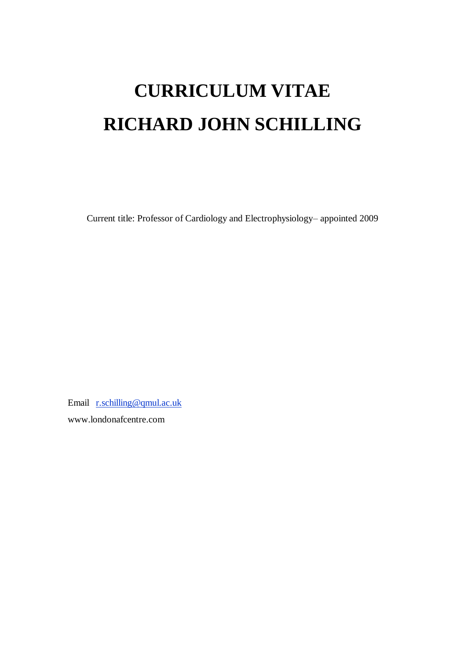# **CURRICULUM VITAE RICHARD JOHN SCHILLING**

Current title: Professor of Cardiology and Electrophysiology– appointed 2009

Email [r.schilling@qmul.ac.uk](mailto:r.schilling@qmul.ac.uk) www.londonafcentre.com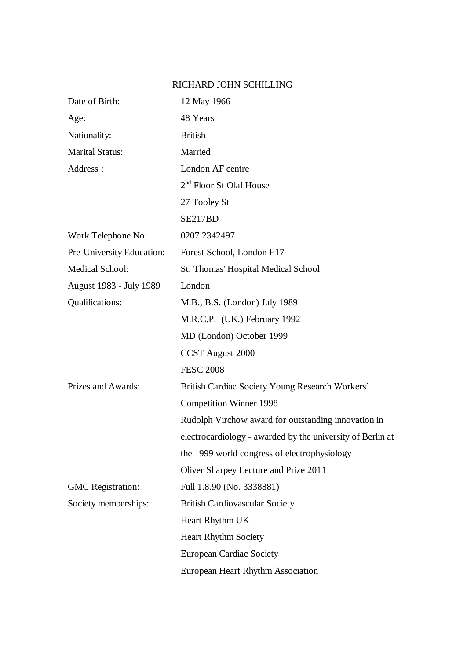## RICHARD JOHN SCHILLING

| Date of Birth:            | 12 May 1966                                                |
|---------------------------|------------------------------------------------------------|
| Age:                      | 48 Years                                                   |
| Nationality:              | <b>British</b>                                             |
| <b>Marital Status:</b>    | Married                                                    |
| Address :                 | London AF centre                                           |
|                           | $2nd$ Floor St Olaf House                                  |
|                           | 27 Tooley St                                               |
|                           | SE217BD                                                    |
| Work Telephone No:        | 0207 2342497                                               |
| Pre-University Education: | Forest School, London E17                                  |
| Medical School:           | St. Thomas' Hospital Medical School                        |
| August 1983 - July 1989   | London                                                     |
| Qualifications:           | M.B., B.S. (London) July 1989                              |
|                           | M.R.C.P. (UK.) February 1992                               |
|                           | MD (London) October 1999                                   |
|                           | <b>CCST</b> August 2000                                    |
|                           | <b>FESC 2008</b>                                           |
| Prizes and Awards:        | British Cardiac Society Young Research Workers'            |
|                           | <b>Competition Winner 1998</b>                             |
|                           | Rudolph Virchow award for outstanding innovation in        |
|                           | electrocardiology - awarded by the university of Berlin at |
|                           | the 1999 world congress of electrophysiology               |
|                           | Oliver Sharpey Lecture and Prize 2011                      |
| <b>GMC</b> Registration:  | Full 1.8.90 (No. 3338881)                                  |
| Society memberships:      | <b>British Cardiovascular Society</b>                      |
|                           | Heart Rhythm UK                                            |
|                           | <b>Heart Rhythm Society</b>                                |
|                           | <b>European Cardiac Society</b>                            |
|                           | European Heart Rhythm Association                          |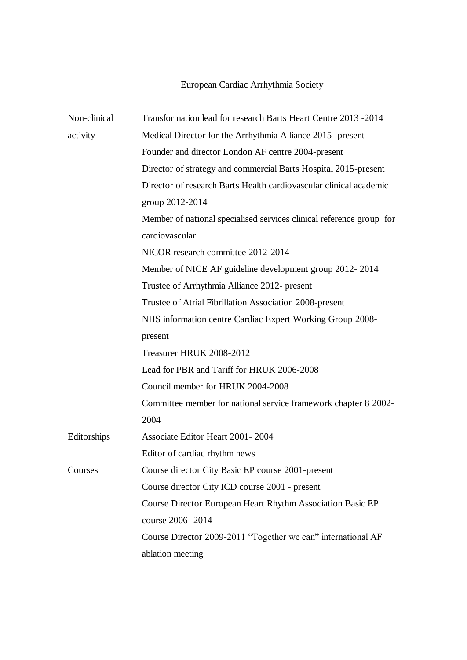# European Cardiac Arrhythmia Society

| Non-clinical | Transformation lead for research Barts Heart Centre 2013 -2014       |
|--------------|----------------------------------------------------------------------|
| activity     | Medical Director for the Arrhythmia Alliance 2015- present           |
|              | Founder and director London AF centre 2004-present                   |
|              | Director of strategy and commercial Barts Hospital 2015-present      |
|              | Director of research Barts Health cardiovascular clinical academic   |
|              | group 2012-2014                                                      |
|              | Member of national specialised services clinical reference group for |
|              | cardiovascular                                                       |
|              | NICOR research committee 2012-2014                                   |
|              | Member of NICE AF guideline development group 2012-2014              |
|              | Trustee of Arrhythmia Alliance 2012- present                         |
|              | Trustee of Atrial Fibrillation Association 2008-present              |
|              | NHS information centre Cardiac Expert Working Group 2008-            |
|              | present                                                              |
|              | Treasurer HRUK 2008-2012                                             |
|              | Lead for PBR and Tariff for HRUK 2006-2008                           |
|              | Council member for HRUK 2004-2008                                    |
|              | Committee member for national service framework chapter 8 2002-      |
|              | 2004                                                                 |
| Editorships  | Associate Editor Heart 2001-2004                                     |
|              | Editor of cardiac rhythm news                                        |
| Courses      | Course director City Basic EP course 2001-present                    |
|              | Course director City ICD course 2001 - present                       |
|              | <b>Course Director European Heart Rhythm Association Basic EP</b>    |
|              | course 2006-2014                                                     |
|              | Course Director 2009-2011 "Together we can" international AF         |
|              | ablation meeting                                                     |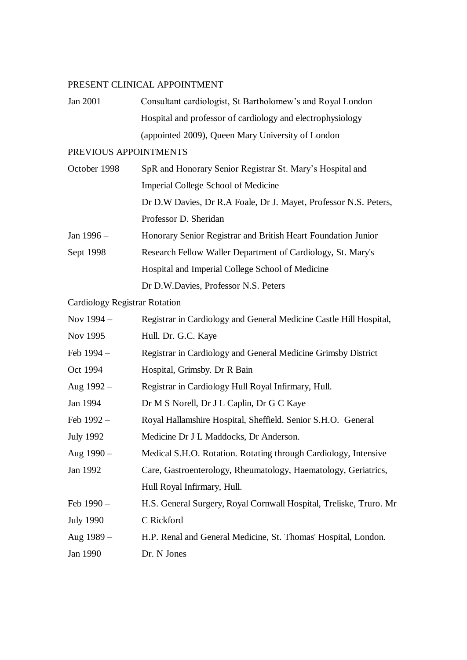#### PRESENT CLINICAL APPOINTMENT

Jan 2001 Consultant cardiologist, St Bartholomew's and Royal London Hospital and professor of cardiology and electrophysiology (appointed 2009), Queen Mary University of London

### PREVIOUS APPOINTMENTS

| October 1998 | SpR and Honorary Senior Registrar St. Mary's Hospital and        |
|--------------|------------------------------------------------------------------|
|              | Imperial College School of Medicine                              |
|              | Dr D.W Davies, Dr R.A Foale, Dr J. Mayet, Professor N.S. Peters, |
|              | Professor D. Sheridan                                            |
| Jan $1996 -$ | Honorary Senior Registrar and British Heart Foundation Junior    |
| Sept 1998    | Research Fellow Waller Department of Cardiology, St. Mary's      |
|              | Hospital and Imperial College School of Medicine                 |
|              | Dr D.W.Davies, Professor N.S. Peters                             |

Cardiology Registrar Rotation

| Nov 1994 -       | Registrar in Cardiology and General Medicine Castle Hill Hospital, |
|------------------|--------------------------------------------------------------------|
| Nov 1995         | Hull. Dr. G.C. Kaye                                                |
| Feb 1994 -       | Registrar in Cardiology and General Medicine Grimsby District      |
| Oct 1994         | Hospital, Grimsby. Dr R Bain                                       |
| Aug $1992 -$     | Registrar in Cardiology Hull Royal Infirmary, Hull.                |
| Jan 1994         | Dr M S Norell, Dr J L Caplin, Dr G C Kaye                          |
| Feb $1992 -$     | Royal Hallamshire Hospital, Sheffield. Senior S.H.O. General       |
| <b>July 1992</b> | Medicine Dr J L Maddocks, Dr Anderson.                             |
| Aug $1990 -$     | Medical S.H.O. Rotation. Rotating through Cardiology, Intensive    |
| Jan 1992         | Care, Gastroenterology, Rheumatology, Haematology, Geriatrics,     |
|                  | Hull Royal Infirmary, Hull.                                        |
| Feb 1990 –       | H.S. General Surgery, Royal Cornwall Hospital, Treliske, Truro. Mr |
| <b>July 1990</b> | C Rickford                                                         |
| Aug $1989 -$     | H.P. Renal and General Medicine, St. Thomas' Hospital, London.     |
| Jan 1990         | Dr. N Jones                                                        |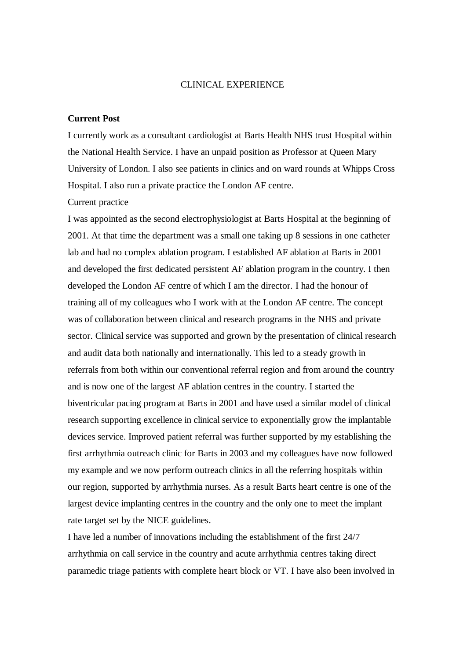#### CLINICAL EXPERIENCE

#### **Current Post**

I currently work as a consultant cardiologist at Barts Health NHS trust Hospital within the National Health Service. I have an unpaid position as Professor at Queen Mary University of London. I also see patients in clinics and on ward rounds at Whipps Cross Hospital. I also run a private practice the London AF centre.

#### Current practice

I was appointed as the second electrophysiologist at Barts Hospital at the beginning of 2001. At that time the department was a small one taking up 8 sessions in one catheter lab and had no complex ablation program. I established AF ablation at Barts in 2001 and developed the first dedicated persistent AF ablation program in the country. I then developed the London AF centre of which I am the director. I had the honour of training all of my colleagues who I work with at the London AF centre. The concept was of collaboration between clinical and research programs in the NHS and private sector. Clinical service was supported and grown by the presentation of clinical research and audit data both nationally and internationally. This led to a steady growth in referrals from both within our conventional referral region and from around the country and is now one of the largest AF ablation centres in the country. I started the biventricular pacing program at Barts in 2001 and have used a similar model of clinical research supporting excellence in clinical service to exponentially grow the implantable devices service. Improved patient referral was further supported by my establishing the first arrhythmia outreach clinic for Barts in 2003 and my colleagues have now followed my example and we now perform outreach clinics in all the referring hospitals within our region, supported by arrhythmia nurses. As a result Barts heart centre is one of the largest device implanting centres in the country and the only one to meet the implant rate target set by the NICE guidelines.

I have led a number of innovations including the establishment of the first 24/7 arrhythmia on call service in the country and acute arrhythmia centres taking direct paramedic triage patients with complete heart block or VT. I have also been involved in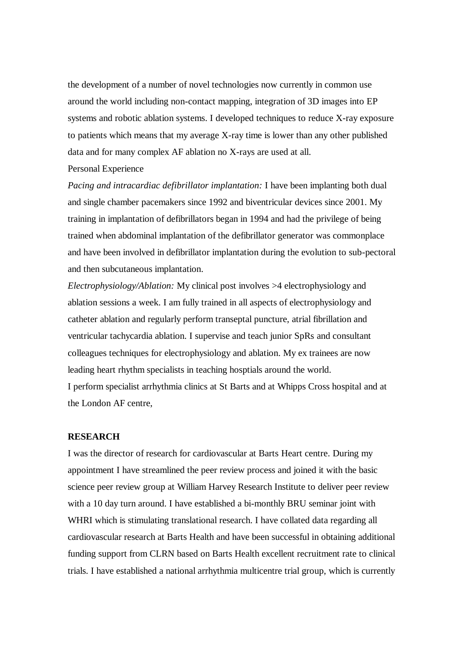the development of a number of novel technologies now currently in common use around the world including non-contact mapping, integration of 3D images into EP systems and robotic ablation systems. I developed techniques to reduce X-ray exposure to patients which means that my average X-ray time is lower than any other published data and for many complex AF ablation no X-rays are used at all.

#### Personal Experience

*Pacing and intracardiac defibrillator implantation:* I have been implanting both dual and single chamber pacemakers since 1992 and biventricular devices since 2001. My training in implantation of defibrillators began in 1994 and had the privilege of being trained when abdominal implantation of the defibrillator generator was commonplace and have been involved in defibrillator implantation during the evolution to sub-pectoral and then subcutaneous implantation.

*Electrophysiology/Ablation:* My clinical post involves >4 electrophysiology and ablation sessions a week. I am fully trained in all aspects of electrophysiology and catheter ablation and regularly perform transeptal puncture, atrial fibrillation and ventricular tachycardia ablation. I supervise and teach junior SpRs and consultant colleagues techniques for electrophysiology and ablation. My ex trainees are now leading heart rhythm specialists in teaching hosptials around the world.

I perform specialist arrhythmia clinics at St Barts and at Whipps Cross hospital and at the London AF centre,

#### **RESEARCH**

I was the director of research for cardiovascular at Barts Heart centre. During my appointment I have streamlined the peer review process and joined it with the basic science peer review group at William Harvey Research Institute to deliver peer review with a 10 day turn around. I have established a bi-monthly BRU seminar joint with WHRI which is stimulating translational research. I have collated data regarding all cardiovascular research at Barts Health and have been successful in obtaining additional funding support from CLRN based on Barts Health excellent recruitment rate to clinical trials. I have established a national arrhythmia multicentre trial group, which is currently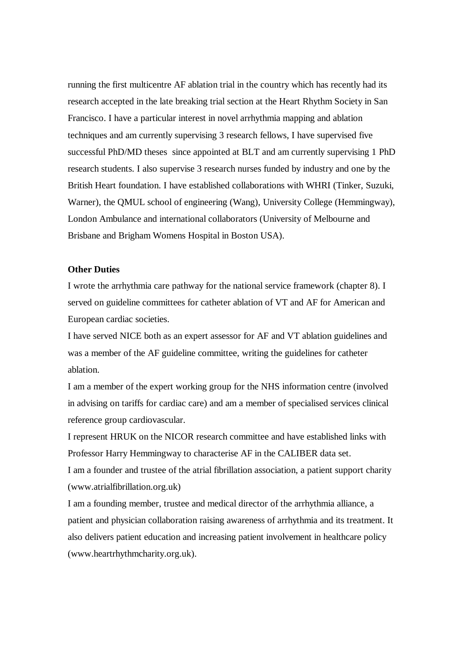running the first multicentre AF ablation trial in the country which has recently had its research accepted in the late breaking trial section at the Heart Rhythm Society in San Francisco. I have a particular interest in novel arrhythmia mapping and ablation techniques and am currently supervising 3 research fellows, I have supervised five successful PhD/MD theses since appointed at BLT and am currently supervising 1 PhD research students. I also supervise 3 research nurses funded by industry and one by the British Heart foundation. I have established collaborations with WHRI (Tinker, Suzuki, Warner), the QMUL school of engineering (Wang), University College (Hemmingway), London Ambulance and international collaborators (University of Melbourne and Brisbane and Brigham Womens Hospital in Boston USA).

#### **Other Duties**

I wrote the arrhythmia care pathway for the national service framework (chapter 8). I served on guideline committees for catheter ablation of VT and AF for American and European cardiac societies.

I have served NICE both as an expert assessor for AF and VT ablation guidelines and was a member of the AF guideline committee, writing the guidelines for catheter ablation.

I am a member of the expert working group for the NHS information centre (involved in advising on tariffs for cardiac care) and am a member of specialised services clinical reference group cardiovascular.

I represent HRUK on the NICOR research committee and have established links with Professor Harry Hemmingway to characterise AF in the CALIBER data set.

I am a founder and trustee of the atrial fibrillation association, a patient support charity (www.atrialfibrillation.org.uk)

I am a founding member, trustee and medical director of the arrhythmia alliance, a patient and physician collaboration raising awareness of arrhythmia and its treatment. It also delivers patient education and increasing patient involvement in healthcare policy (www.heartrhythmcharity.org.uk).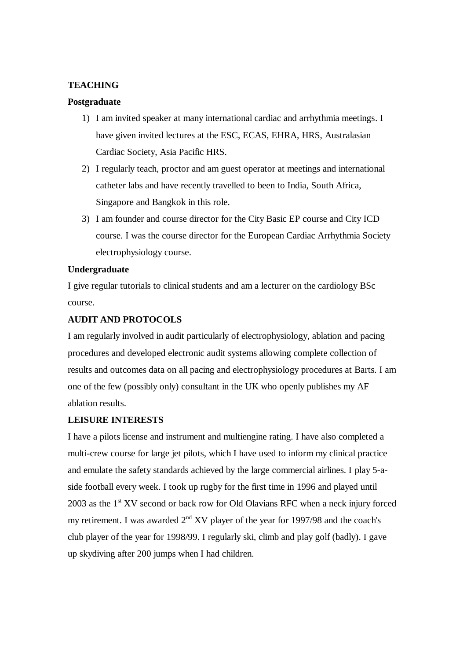#### **TEACHING**

#### **Postgraduate**

- 1) I am invited speaker at many international cardiac and arrhythmia meetings. I have given invited lectures at the ESC, ECAS, EHRA, HRS, Australasian Cardiac Society, Asia Pacific HRS.
- 2) I regularly teach, proctor and am guest operator at meetings and international catheter labs and have recently travelled to been to India, South Africa, Singapore and Bangkok in this role.
- 3) I am founder and course director for the City Basic EP course and City ICD course. I was the course director for the European Cardiac Arrhythmia Society electrophysiology course.

#### **Undergraduate**

I give regular tutorials to clinical students and am a lecturer on the cardiology BSc course.

#### **AUDIT AND PROTOCOLS**

I am regularly involved in audit particularly of electrophysiology, ablation and pacing procedures and developed electronic audit systems allowing complete collection of results and outcomes data on all pacing and electrophysiology procedures at Barts. I am one of the few (possibly only) consultant in the UK who openly publishes my AF ablation results.

#### **LEISURE INTERESTS**

I have a pilots license and instrument and multiengine rating. I have also completed a multi-crew course for large jet pilots, which I have used to inform my clinical practice and emulate the safety standards achieved by the large commercial airlines. I play 5-aside football every week. I took up rugby for the first time in 1996 and played until 2003 as the  $1<sup>st</sup> XV$  second or back row for Old Olavians RFC when a neck injury forced my retirement. I was awarded  $2<sup>nd</sup> XV$  player of the year for 1997/98 and the coach's club player of the year for 1998/99. I regularly ski, climb and play golf (badly). I gave up skydiving after 200 jumps when I had children.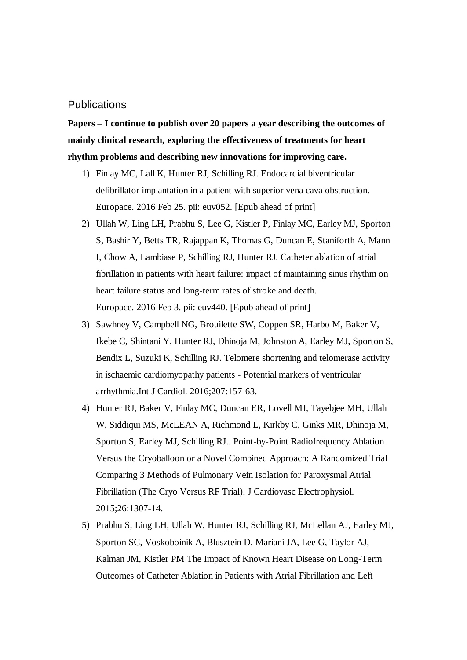#### **Publications**

**Papers – I continue to publish over 20 papers a year describing the outcomes of mainly clinical research, exploring the effectiveness of treatments for heart rhythm problems and describing new innovations for improving care.**

- 1) Finlay MC, Lall K, Hunter RJ, Schilling RJ. Endocardial biventricular defibrillator implantation in a patient with superior vena cava obstruction. Europace. 2016 Feb 25. pii: euv052. [Epub ahead of print]
- 2) Ullah W, Ling LH, Prabhu S, Lee G, Kistler P, Finlay MC, Earley MJ, Sporton S, Bashir Y, Betts TR, Rajappan K, Thomas G, Duncan E, Staniforth A, Mann I, Chow A, Lambiase P, Schilling RJ, Hunter RJ. Catheter ablation of atrial fibrillation in patients with heart failure: impact of maintaining sinus rhythm on heart failure status and long-term rates of stroke and death. Europace. 2016 Feb 3. pii: euv440. [Epub ahead of print]
- 3) Sawhney V, Campbell NG, Brouilette SW, Coppen SR, Harbo M, Baker V, Ikebe C, Shintani Y, Hunter RJ, Dhinoja M, Johnston A, Earley MJ, Sporton S, Bendix L, Suzuki K, Schilling RJ. Telomere shortening and telomerase activity in ischaemic cardiomyopathy patients - Potential markers of ventricular arrhythmia.Int J Cardiol. 2016;207:157-63.
- 4) Hunter RJ, Baker V, Finlay MC, Duncan ER, Lovell MJ, Tayebjee MH, Ullah W, Siddiqui MS, McLEAN A, Richmond L, Kirkby C, Ginks MR, Dhinoja M, Sporton S, Earley MJ, Schilling RJ.. Point-by-Point Radiofrequency Ablation Versus the Cryoballoon or a Novel Combined Approach: A Randomized Trial Comparing 3 Methods of Pulmonary Vein Isolation for Paroxysmal Atrial Fibrillation (The Cryo Versus RF Trial). J Cardiovasc Electrophysiol. 2015;26:1307-14.
- 5) Prabhu S, Ling LH, Ullah W, Hunter RJ, Schilling RJ, McLellan AJ, Earley MJ, Sporton SC, Voskoboinik A, Blusztein D, Mariani JA, Lee G, Taylor AJ, Kalman JM, Kistler PM The Impact of Known Heart Disease on Long-Term Outcomes of Catheter Ablation in Patients with Atrial Fibrillation and Left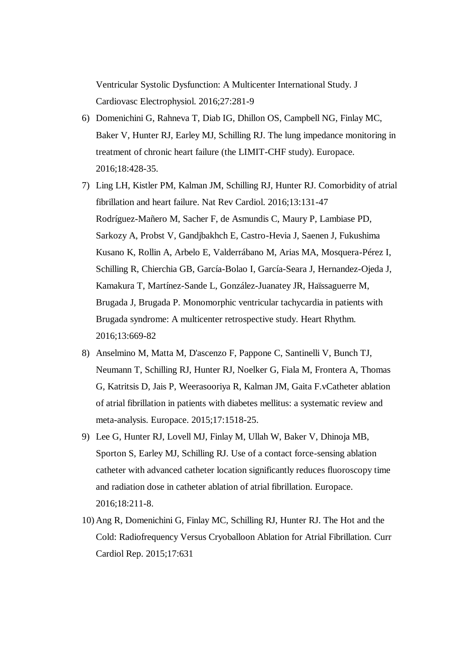Ventricular Systolic Dysfunction: A Multicenter International Study. J Cardiovasc Electrophysiol. 2016;27:281-9

- 6) Domenichini G, Rahneva T, Diab IG, Dhillon OS, Campbell NG, Finlay MC, Baker V, Hunter RJ, Earley MJ, Schilling RJ. The lung impedance monitoring in treatment of chronic heart failure (the LIMIT-CHF study). Europace. 2016;18:428-35.
- 7) Ling LH, Kistler PM, Kalman JM, Schilling RJ, Hunter RJ. Comorbidity of atrial fibrillation and heart failure. Nat Rev Cardiol. 2016;13:131-47 Rodríguez-Mañero M, Sacher F, de Asmundis C, Maury P, Lambiase PD, Sarkozy A, Probst V, Gandjbakhch E, Castro-Hevia J, Saenen J, Fukushima Kusano K, Rollin A, Arbelo E, Valderrábano M, Arias MA, Mosquera-Pérez I, Schilling R, Chierchia GB, García-Bolao I, García-Seara J, Hernandez-Ojeda J, Kamakura T, Martínez-Sande L, González-Juanatey JR, Haïssaguerre M, Brugada J, Brugada P. Monomorphic ventricular tachycardia in patients with Brugada syndrome: A multicenter retrospective study. Heart Rhythm. 2016;13:669-82
- 8) Anselmino M, Matta M, D'ascenzo F, Pappone C, Santinelli V, Bunch TJ, Neumann T, Schilling RJ, Hunter RJ, Noelker G, Fiala M, Frontera A, Thomas G, Katritsis D, Jais P, Weerasooriya R, Kalman JM, Gaita F.vCatheter ablation of atrial fibrillation in patients with diabetes mellitus: a systematic review and meta-analysis. Europace. 2015;17:1518-25.
- 9) Lee G, Hunter RJ, Lovell MJ, Finlay M, Ullah W, Baker V, Dhinoja MB, Sporton S, Earley MJ, Schilling RJ. Use of a contact force-sensing ablation catheter with advanced catheter location significantly reduces fluoroscopy time and radiation dose in catheter ablation of atrial fibrillation. Europace. 2016;18:211-8.
- 10) Ang R, Domenichini G, Finlay MC, Schilling RJ, Hunter RJ. The Hot and the Cold: Radiofrequency Versus Cryoballoon Ablation for Atrial Fibrillation. Curr Cardiol Rep. 2015;17:631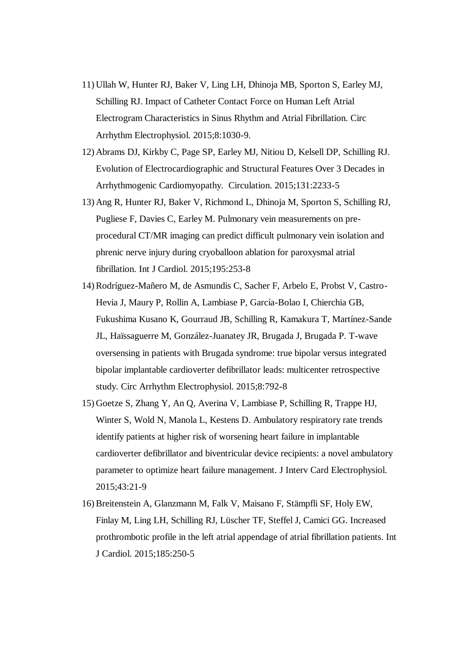- 11) Ullah W, Hunter RJ, Baker V, Ling LH, Dhinoja MB, Sporton S, Earley MJ, Schilling RJ. Impact of Catheter Contact Force on Human Left Atrial Electrogram Characteristics in Sinus Rhythm and Atrial Fibrillation. Circ Arrhythm Electrophysiol. 2015;8:1030-9.
- 12) Abrams DJ, Kirkby C, Page SP, Earley MJ, Nitiou D, Kelsell DP, Schilling RJ. Evolution of Electrocardiographic and Structural Features Over 3 Decades in Arrhythmogenic Cardiomyopathy. Circulation. 2015;131:2233-5
- 13) Ang R, Hunter RJ, Baker V, Richmond L, Dhinoja M, Sporton S, Schilling RJ, Pugliese F, Davies C, Earley M. Pulmonary vein measurements on preprocedural CT/MR imaging can predict difficult pulmonary vein isolation and phrenic nerve injury during cryoballoon ablation for paroxysmal atrial fibrillation. Int J Cardiol. 2015;195:253-8
- 14) Rodríguez-Mañero M, de Asmundis C, Sacher F, Arbelo E, Probst V, Castro-Hevia J, Maury P, Rollin A, Lambiase P, García-Bolao I, Chierchia GB, Fukushima Kusano K, Gourraud JB, Schilling R, Kamakura T, Martínez-Sande JL, Haïssaguerre M, González-Juanatey JR, Brugada J, Brugada P. T-wave oversensing in patients with Brugada syndrome: true bipolar versus integrated bipolar implantable cardioverter defibrillator leads: multicenter retrospective study. Circ Arrhythm Electrophysiol. 2015;8:792-8
- 15) Goetze S, Zhang Y, An Q, Averina V, Lambiase P, Schilling R, Trappe HJ, Winter S, Wold N, Manola L, Kestens D. Ambulatory respiratory rate trends identify patients at higher risk of worsening heart failure in implantable cardioverter defibrillator and biventricular device recipients: a novel ambulatory parameter to optimize heart failure management. J Interv Card Electrophysiol. 2015;43:21-9
- 16) Breitenstein A, Glanzmann M, Falk V, Maisano F, Stämpfli SF, Holy EW, Finlay M, Ling LH, Schilling RJ, Lüscher TF, Steffel J, Camici GG. Increased prothrombotic profile in the left atrial appendage of atrial fibrillation patients. Int J Cardiol. 2015;185:250-5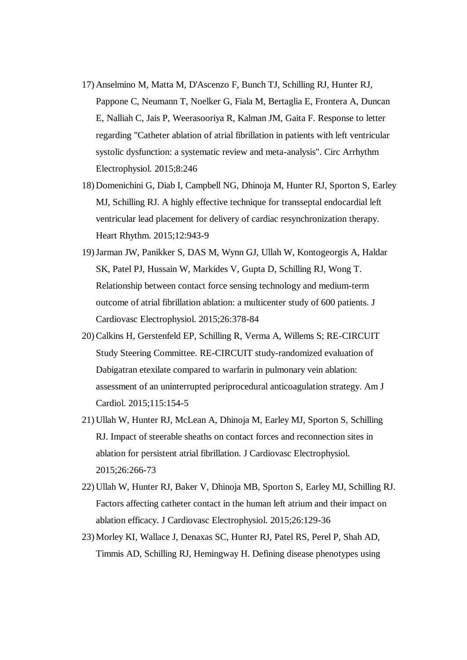- 17) Anselmino M, Matta M, D'Ascenzo F, Bunch TJ, Schilling RJ, Hunter RJ, Pappone C, Neumann T, Noelker G, Fiala M, Bertaglia E, Frontera A, Duncan E, Nalliah C, Jais P, Weerasooriya R, Kalman JM, Gaita F. Response to letter regarding "Catheter ablation of atrial fibrillation in patients with left ventricular systolic dysfunction: a systematic review and meta-analysis". Circ Arrhythm Electrophysiol. 2015;8:246
- 18) Domenichini G, Diab I, Campbell NG, Dhinoja M, Hunter RJ, Sporton S, Earley MJ, Schilling RJ. A highly effective technique for transseptal endocardial left ventricular lead placement for delivery of cardiac resynchronization therapy. Heart Rhythm. 2015;12:943-9
- 19)Jarman JW, Panikker S, DAS M, Wynn GJ, Ullah W, Kontogeorgis A, Haldar SK, Patel PJ, Hussain W, Markides V, Gupta D, Schilling RJ, Wong T. Relationship between contact force sensing technology and medium-term outcome of atrial fibrillation ablation: a multicenter study of 600 patients. J Cardiovasc Electrophysiol. 2015;26:378-84
- 20) Calkins H, Gerstenfeld EP, Schilling R, Verma A, Willems S; RE-CIRCUIT Study Steering Committee. RE-CIRCUIT study-randomized evaluation of Dabigatran etexilate compared to warfarin in pulmonary vein ablation: assessment of an uninterrupted periprocedural anticoagulation strategy. Am J Cardiol. 2015;115:154-5
- 21) Ullah W, Hunter RJ, McLean A, Dhinoja M, Earley MJ, Sporton S, Schilling RJ. Impact of steerable sheaths on contact forces and reconnection sites in ablation for persistent atrial fibrillation. J Cardiovasc Electrophysiol. 2015;26:266-73
- 22) Ullah W, Hunter RJ, Baker V, Dhinoja MB, Sporton S, Earley MJ, Schilling RJ. Factors affecting catheter contact in the human left atrium and their impact on ablation efficacy. J Cardiovasc Electrophysiol. 2015;26:129-36
- 23) Morley KI, Wallace J, Denaxas SC, Hunter RJ, Patel RS, Perel P, Shah AD, Timmis AD, Schilling RJ, Hemingway H. Defining disease phenotypes using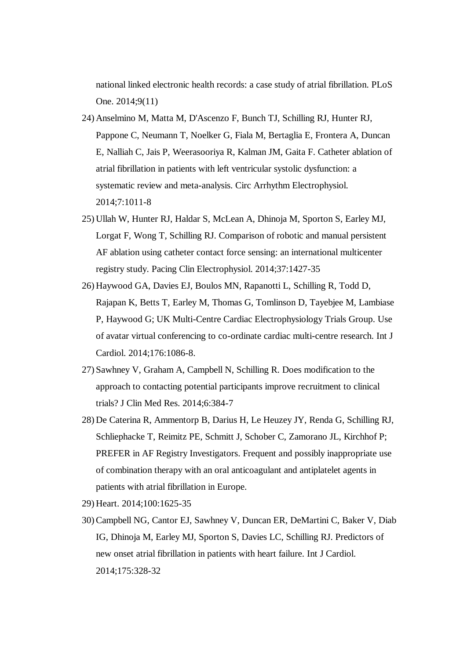national linked electronic health records: a case study of atrial fibrillation. PLoS One. 2014;9(11)

- 24) Anselmino M, Matta M, D'Ascenzo F, Bunch TJ, Schilling RJ, Hunter RJ, Pappone C, Neumann T, Noelker G, Fiala M, Bertaglia E, Frontera A, Duncan E, Nalliah C, Jais P, Weerasooriya R, Kalman JM, Gaita F. Catheter ablation of atrial fibrillation in patients with left ventricular systolic dysfunction: a systematic review and meta-analysis. Circ Arrhythm Electrophysiol. 2014;7:1011-8
- 25) Ullah W, Hunter RJ, Haldar S, McLean A, Dhinoja M, Sporton S, Earley MJ, Lorgat F, Wong T, Schilling RJ. Comparison of robotic and manual persistent AF ablation using catheter contact force sensing: an international multicenter registry study. Pacing Clin Electrophysiol. 2014;37:1427-35
- 26) Haywood GA, Davies EJ, Boulos MN, Rapanotti L, Schilling R, Todd D, Rajapan K, Betts T, Earley M, Thomas G, Tomlinson D, Tayebjee M, Lambiase P, Haywood G; UK Multi-Centre Cardiac Electrophysiology Trials Group. Use of avatar virtual conferencing to co-ordinate cardiac multi-centre research. Int J Cardiol. 2014;176:1086-8.
- 27) Sawhney V, Graham A, Campbell N, Schilling R. Does modification to the approach to contacting potential participants improve recruitment to clinical trials? J Clin Med Res. 2014;6:384-7
- 28) De Caterina R, Ammentorp B, Darius H, Le Heuzey JY, Renda G, Schilling RJ, Schliephacke T, Reimitz PE, Schmitt J, Schober C, Zamorano JL, Kirchhof P; PREFER in AF Registry Investigators. Frequent and possibly inappropriate use of combination therapy with an oral anticoagulant and antiplatelet agents in patients with atrial fibrillation in Europe.

29) Heart. 2014;100:1625-35

30) Campbell NG, Cantor EJ, Sawhney V, Duncan ER, DeMartini C, Baker V, Diab IG, Dhinoja M, Earley MJ, Sporton S, Davies LC, Schilling RJ. Predictors of new onset atrial fibrillation in patients with heart failure. Int J Cardiol. 2014;175:328-32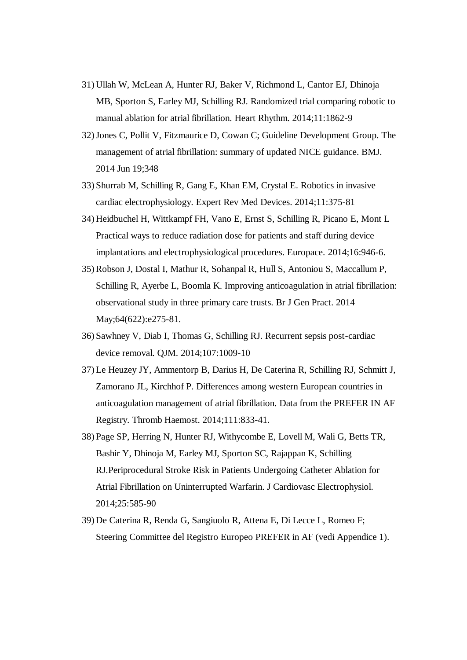- 31) Ullah W, McLean A, Hunter RJ, Baker V, Richmond L, Cantor EJ, Dhinoja MB, Sporton S, Earley MJ, Schilling RJ. Randomized trial comparing robotic to manual ablation for atrial fibrillation. Heart Rhythm. 2014;11:1862-9
- 32)Jones C, Pollit V, Fitzmaurice D, Cowan C; Guideline Development Group. The management of atrial fibrillation: summary of updated NICE guidance. BMJ. 2014 Jun 19;348
- 33) Shurrab M, Schilling R, Gang E, Khan EM, Crystal E. Robotics in invasive cardiac electrophysiology. Expert Rev Med Devices. 2014;11:375-81
- 34) Heidbuchel H, Wittkampf FH, Vano E, Ernst S, Schilling R, Picano E, Mont L Practical ways to reduce radiation dose for patients and staff during device implantations and electrophysiological procedures. Europace. 2014;16:946-6.
- 35) Robson J, Dostal I, Mathur R, Sohanpal R, Hull S, Antoniou S, Maccallum P, Schilling R, Ayerbe L, Boomla K. Improving anticoagulation in atrial fibrillation: observational study in three primary care trusts. Br J Gen Pract. 2014 May;64(622):e275-81.
- 36) Sawhney V, Diab I, Thomas G, Schilling RJ. Recurrent sepsis post-cardiac device removal. QJM. 2014;107:1009-10
- 37) Le Heuzey JY, Ammentorp B, Darius H, De Caterina R, Schilling RJ, Schmitt J, Zamorano JL, Kirchhof P. Differences among western European countries in anticoagulation management of atrial fibrillation. Data from the PREFER IN AF Registry. Thromb Haemost. 2014;111:833-41.
- 38) Page SP, Herring N, Hunter RJ, Withycombe E, Lovell M, Wali G, Betts TR, Bashir Y, Dhinoja M, Earley MJ, Sporton SC, Rajappan K, Schilling RJ.Periprocedural Stroke Risk in Patients Undergoing Catheter Ablation for Atrial Fibrillation on Uninterrupted Warfarin. J Cardiovasc Electrophysiol. 2014;25:585-90
- 39) De Caterina R, Renda G, Sangiuolo R, Attena E, Di Lecce L, Romeo F; Steering Committee del Registro Europeo PREFER in AF (vedi Appendice 1).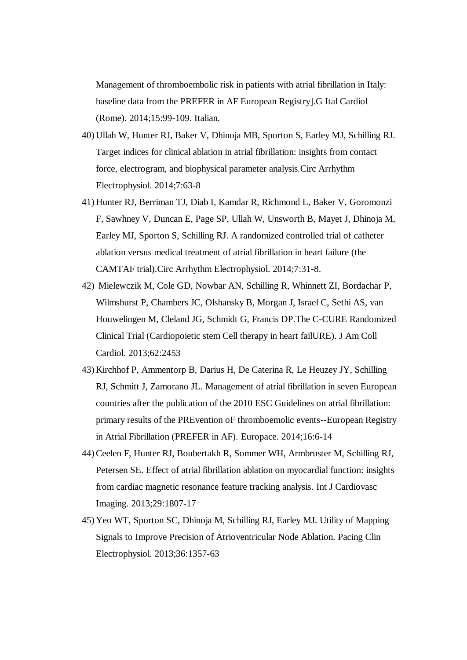Management of thromboembolic risk in patients with atrial fibrillation in Italy: baseline data from the PREFER in AF European Registry].G Ital Cardiol (Rome). 2014;15:99-109. Italian.

- 40) Ullah W, Hunter RJ, Baker V, Dhinoja MB, Sporton S, Earley MJ, Schilling RJ. Target indices for clinical ablation in atrial fibrillation: insights from contact force, electrogram, and biophysical parameter analysis.Circ Arrhythm Electrophysiol. 2014;7:63-8
- 41) Hunter RJ, Berriman TJ, Diab I, Kamdar R, Richmond L, Baker V, Goromonzi F, Sawhney V, Duncan E, Page SP, Ullah W, Unsworth B, Mayet J, Dhinoja M, Earley MJ, Sporton S, Schilling RJ. A randomized controlled trial of catheter ablation versus medical treatment of atrial fibrillation in heart failure (the CAMTAF trial).Circ Arrhythm Electrophysiol. 2014;7:31-8.
- 42) Mielewczik M, Cole GD, Nowbar AN, Schilling R, Whinnett ZI, Bordachar P, Wilmshurst P, Chambers JC, Olshansky B, Morgan J, Israel C, Sethi AS, van Houwelingen M, Cleland JG, Schmidt G, Francis DP.The C-CURE Randomized Clinical Trial (Cardiopoietic stem Cell therapy in heart failURE). J Am Coll Cardiol. 2013;62:2453
- 43) Kirchhof P, Ammentorp B, Darius H, De Caterina R, Le Heuzey JY, Schilling RJ, Schmitt J, Zamorano JL. Management of atrial fibrillation in seven European countries after the publication of the 2010 ESC Guidelines on atrial fibrillation: primary results of the PREvention oF thromboemolic events--European Registry in Atrial Fibrillation (PREFER in AF). Europace. 2014;16:6-14
- 44) Ceelen F, Hunter RJ, Boubertakh R, Sommer WH, Armbruster M, Schilling RJ, Petersen SE. Effect of atrial fibrillation ablation on myocardial function: insights from cardiac magnetic resonance feature tracking analysis. Int J Cardiovasc Imaging. 2013;29:1807-17
- 45) Yeo WT, Sporton SC, Dhinoja M, Schilling RJ, Earley MJ. Utility of Mapping Signals to Improve Precision of Atrioventricular Node Ablation. Pacing Clin Electrophysiol. 2013;36:1357-63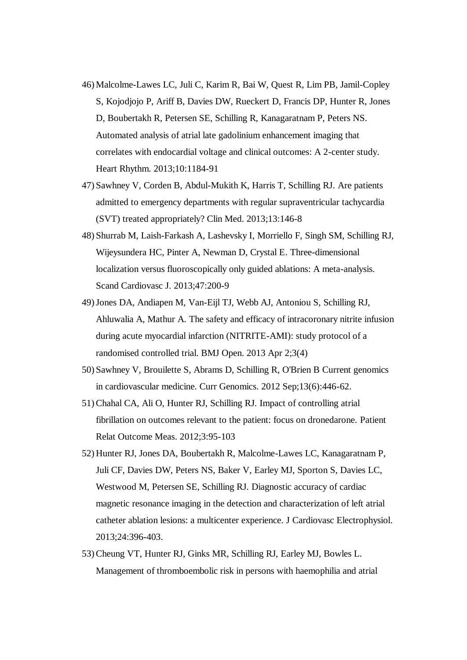- 46) Malcolme-Lawes LC, Juli C, Karim R, Bai W, Quest R, Lim PB, Jamil-Copley S, Kojodjojo P, Ariff B, Davies DW, Rueckert D, Francis DP, Hunter R, Jones D, Boubertakh R, Petersen SE, Schilling R, Kanagaratnam P, Peters NS. Automated analysis of atrial late gadolinium enhancement imaging that correlates with endocardial voltage and clinical outcomes: A 2-center study. Heart Rhythm. 2013;10:1184-91
- 47) Sawhney V, Corden B, Abdul-Mukith K, Harris T, Schilling RJ. Are patients admitted to emergency departments with regular supraventricular tachycardia (SVT) treated appropriately? Clin Med. 2013;13:146-8
- 48) Shurrab M, Laish-Farkash A, Lashevsky I, Morriello F, Singh SM, Schilling RJ, Wijeysundera HC, Pinter A, Newman D, Crystal E. Three-dimensional localization versus fluoroscopically only guided ablations: A meta-analysis. Scand Cardiovasc J. 2013;47:200-9
- 49)Jones DA, Andiapen M, Van-Eijl TJ, Webb AJ, Antoniou S, Schilling RJ, Ahluwalia A, Mathur A. The safety and efficacy of intracoronary nitrite infusion during acute myocardial infarction (NITRITE-AMI): study protocol of a randomised controlled trial. BMJ Open. 2013 Apr 2;3(4)
- 50) Sawhney V, Brouilette S, Abrams D, Schilling R, O'Brien B Current genomics in cardiovascular medicine. Curr Genomics. 2012 Sep;13(6):446-62.
- 51) Chahal CA, Ali O, Hunter RJ, Schilling RJ. Impact of controlling atrial fibrillation on outcomes relevant to the patient: focus on dronedarone. Patient Relat Outcome Meas. 2012;3:95-103
- 52) Hunter RJ, Jones DA, Boubertakh R, Malcolme-Lawes LC, Kanagaratnam P, Juli CF, Davies DW, Peters NS, Baker V, Earley MJ, Sporton S, Davies LC, Westwood M, Petersen SE, Schilling RJ. Diagnostic accuracy of cardiac magnetic resonance imaging in the detection and characterization of left atrial catheter ablation lesions: a multicenter experience. J Cardiovasc Electrophysiol. 2013;24:396-403.
- 53) Cheung VT, Hunter RJ, Ginks MR, Schilling RJ, Earley MJ, Bowles L. Management of thromboembolic risk in persons with haemophilia and atrial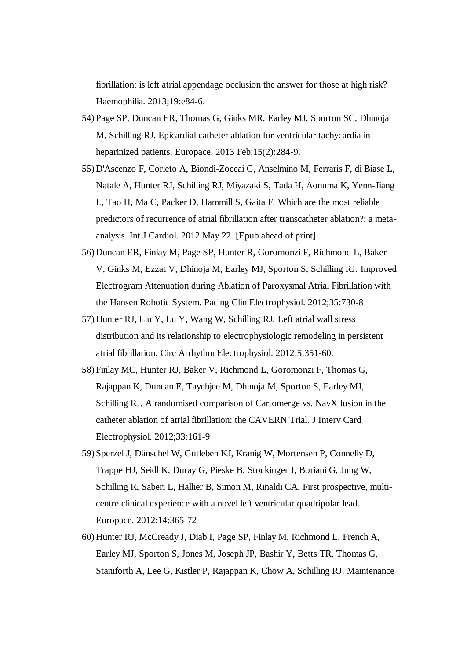fibrillation: is left atrial appendage occlusion the answer for those at high risk? Haemophilia. 2013;19:e84-6.

- 54) Page SP, Duncan ER, Thomas G, Ginks MR, Earley MJ, Sporton SC, Dhinoja M, Schilling RJ. Epicardial catheter ablation for ventricular tachycardia in heparinized patients. Europace. 2013 Feb;15(2):284-9.
- 55) D'Ascenzo F, Corleto A, Biondi-Zoccai G, Anselmino M, Ferraris F, di Biase L, Natale A, Hunter RJ, Schilling RJ, Miyazaki S, Tada H, Aonuma K, Yenn-Jiang L, Tao H, Ma C, Packer D, Hammill S, Gaita F. Which are the most reliable predictors of recurrence of atrial fibrillation after transcatheter ablation?: a metaanalysis. Int J Cardiol. 2012 May 22. [Epub ahead of print]
- 56) Duncan ER, Finlay M, Page SP, Hunter R, Goromonzi F, Richmond L, Baker V, Ginks M, Ezzat V, Dhinoja M, Earley MJ, Sporton S, Schilling RJ. Improved Electrogram Attenuation during Ablation of Paroxysmal Atrial Fibrillation with the Hansen Robotic System. Pacing Clin Electrophysiol. 2012;35:730-8
- 57) Hunter RJ, Liu Y, Lu Y, Wang W, Schilling RJ. Left atrial wall stress distribution and its relationship to electrophysiologic remodeling in persistent atrial fibrillation. Circ Arrhythm Electrophysiol. 2012;5:351-60.
- 58) Finlay MC, Hunter RJ, Baker V, Richmond L, Goromonzi F, Thomas G, Rajappan K, Duncan E, Tayebjee M, Dhinoja M, Sporton S, Earley MJ, Schilling RJ. A randomised comparison of Cartomerge vs. NavX fusion in the catheter ablation of atrial fibrillation: the CAVERN Trial. J Interv Card Electrophysiol. 2012;33:161-9
- 59) Sperzel J, Dänschel W, Gutleben KJ, Kranig W, Mortensen P, Connelly D, Trappe HJ, Seidl K, Duray G, Pieske B, Stockinger J, Boriani G, Jung W, Schilling R, Saberi L, Hallier B, Simon M, Rinaldi CA. First prospective, multicentre clinical experience with a novel left ventricular quadripolar lead. Europace. 2012;14:365-72
- 60) Hunter RJ, McCready J, Diab I, Page SP, Finlay M, Richmond L, French A, Earley MJ, Sporton S, Jones M, Joseph JP, Bashir Y, Betts TR, Thomas G, Staniforth A, Lee G, Kistler P, Rajappan K, Chow A, Schilling RJ. Maintenance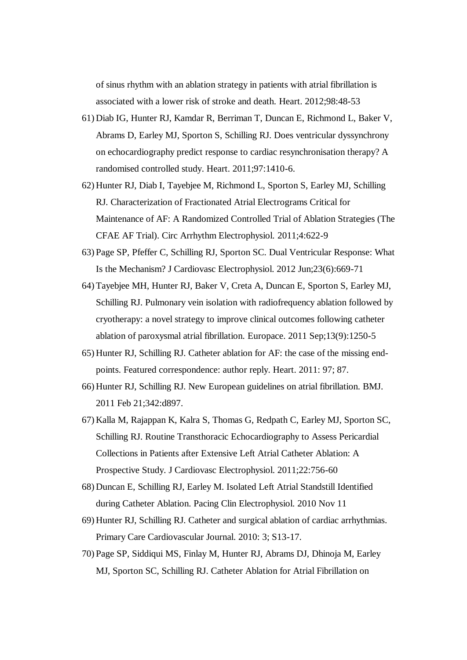of sinus rhythm with an ablation strategy in patients with atrial fibrillation is associated with a lower risk of stroke and death. Heart. 2012;98:48-53

- 61) Diab IG, Hunter RJ, Kamdar R, Berriman T, Duncan E, Richmond L, Baker V, Abrams D, Earley MJ, Sporton S, Schilling RJ. Does ventricular dyssynchrony on echocardiography predict response to cardiac resynchronisation therapy? A randomised controlled study. Heart. 2011;97:1410-6.
- 62) Hunter RJ, Diab I, Tayebjee M, Richmond L, Sporton S, Earley MJ, Schilling RJ. Characterization of Fractionated Atrial Electrograms Critical for Maintenance of AF: A Randomized Controlled Trial of Ablation Strategies (The CFAE AF Trial). Circ Arrhythm Electrophysiol. 2011;4:622-9
- 63) Page SP, Pfeffer C, Schilling RJ, Sporton SC. Dual Ventricular Response: What Is the Mechanism? J Cardiovasc Electrophysiol. 2012 Jun;23(6):669-71
- 64) Tayebjee MH, Hunter RJ, Baker V, Creta A, Duncan E, Sporton S, Earley MJ, Schilling RJ. Pulmonary vein isolation with radiofrequency ablation followed by cryotherapy: a novel strategy to improve clinical outcomes following catheter ablation of paroxysmal atrial fibrillation. Europace. 2011 Sep;13(9):1250-5
- 65) Hunter RJ, Schilling RJ. Catheter ablation for AF: the case of the missing endpoints. Featured correspondence: author reply. Heart. 2011: 97; 87.
- 66) Hunter RJ, Schilling RJ. New European guidelines on atrial fibrillation. BMJ. 2011 Feb 21;342:d897.
- 67) Kalla M, Rajappan K, Kalra S, Thomas G, Redpath C, Earley MJ, Sporton SC, Schilling RJ. Routine Transthoracic Echocardiography to Assess Pericardial Collections in Patients after Extensive Left Atrial Catheter Ablation: A Prospective Study. J Cardiovasc Electrophysiol. 2011;22:756-60
- 68) Duncan E, Schilling RJ, Earley M. Isolated Left Atrial Standstill Identified during Catheter Ablation. Pacing Clin Electrophysiol. 2010 Nov 11
- 69) Hunter RJ, Schilling RJ. Catheter and surgical ablation of cardiac arrhythmias. Primary Care Cardiovascular Journal. 2010: 3; S13-17.
- 70) Page SP, Siddiqui MS, Finlay M, Hunter RJ, Abrams DJ, Dhinoja M, Earley MJ, Sporton SC, Schilling RJ. Catheter Ablation for Atrial Fibrillation on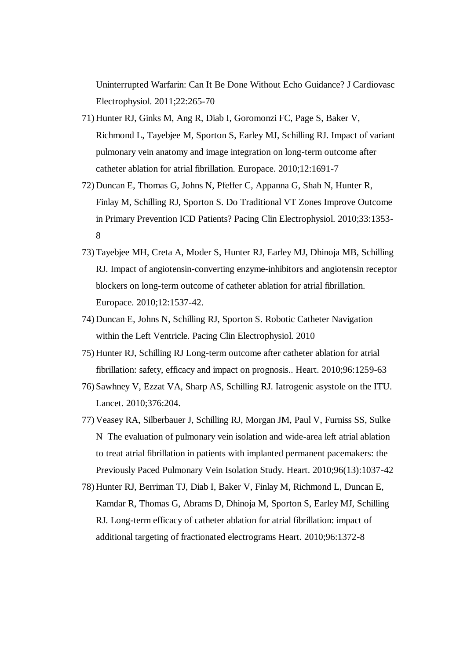Uninterrupted Warfarin: Can It Be Done Without Echo Guidance? J Cardiovasc Electrophysiol. 2011;22:265-70

- 71) Hunter RJ, Ginks M, Ang R, Diab I, Goromonzi FC, Page S, Baker V, Richmond L, Tayebjee M, Sporton S, Earley MJ, Schilling RJ. Impact of variant pulmonary vein anatomy and image integration on long-term outcome after catheter ablation for atrial fibrillation. Europace. 2010;12:1691-7
- 72) Duncan E, Thomas G, Johns N, Pfeffer C, Appanna G, Shah N, Hunter R, Finlay M, Schilling RJ, Sporton S. Do Traditional VT Zones Improve Outcome in Primary Prevention ICD Patients? Pacing Clin Electrophysiol. 2010;33:1353- 8
- 73) Tayebjee MH, Creta A, Moder S, Hunter RJ, Earley MJ, Dhinoja MB, Schilling RJ. Impact of angiotensin-converting enzyme-inhibitors and angiotensin receptor blockers on long-term outcome of catheter ablation for atrial fibrillation. Europace. 2010;12:1537-42.
- 74) Duncan E, Johns N, Schilling RJ, Sporton S. Robotic Catheter Navigation within the Left Ventricle. Pacing Clin Electrophysiol. 2010
- 75) Hunter RJ, Schilling RJ Long-term outcome after catheter ablation for atrial fibrillation: safety, efficacy and impact on prognosis.. Heart. 2010;96:1259-63
- 76) Sawhney V, Ezzat VA, Sharp AS, Schilling RJ. Iatrogenic asystole on the ITU. Lancet. 2010;376:204.
- 77) Veasey RA, Silberbauer J, Schilling RJ, Morgan JM, Paul V, Furniss SS, Sulke N The evaluation of pulmonary vein isolation and wide-area left atrial ablation to treat atrial fibrillation in patients with implanted permanent pacemakers: the Previously Paced Pulmonary Vein Isolation Study. Heart. 2010;96(13):1037-42
- 78) Hunter RJ, Berriman TJ, Diab I, Baker V, Finlay M, Richmond L, Duncan E, Kamdar R, Thomas G, Abrams D, Dhinoja M, Sporton S, Earley MJ, Schilling RJ. Long-term efficacy of catheter ablation for atrial fibrillation: impact of additional targeting of fractionated electrograms Heart. 2010;96:1372-8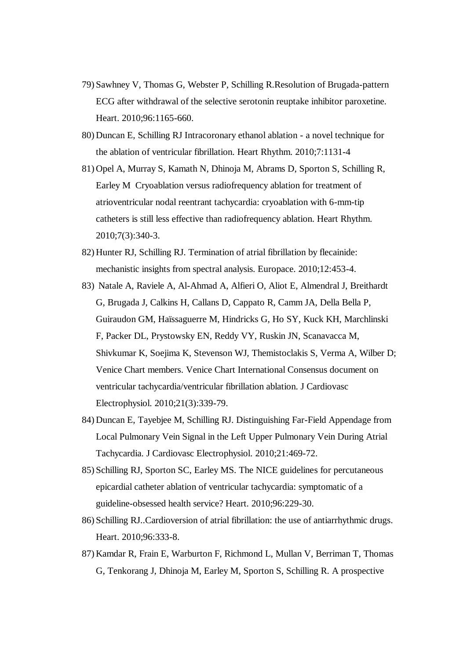- 79) Sawhney V, Thomas G, Webster P, Schilling R.Resolution of Brugada-pattern ECG after withdrawal of the selective serotonin reuptake inhibitor paroxetine. Heart. 2010;96:1165-660.
- 80) Duncan E, Schilling RJ Intracoronary ethanol ablation a novel technique for the ablation of ventricular fibrillation. Heart Rhythm. 2010;7:1131-4
- 81) Opel A, Murray S, Kamath N, Dhinoja M, Abrams D, Sporton S, Schilling R, Earley M Cryoablation versus radiofrequency ablation for treatment of atrioventricular nodal reentrant tachycardia: cryoablation with 6-mm-tip catheters is still less effective than radiofrequency ablation. Heart Rhythm. 2010;7(3):340-3.
- 82) Hunter RJ, Schilling RJ. Termination of atrial fibrillation by flecainide: mechanistic insights from spectral analysis. Europace. 2010;12:453-4.
- 83) Natale A, Raviele A, Al-Ahmad A, Alfieri O, Aliot E, Almendral J, Breithardt G, Brugada J, Calkins H, Callans D, Cappato R, Camm JA, Della Bella P, Guiraudon GM, Haïssaguerre M, Hindricks G, Ho SY, Kuck KH, Marchlinski F, Packer DL, Prystowsky EN, Reddy VY, Ruskin JN, Scanavacca M, Shivkumar K, Soejima K, Stevenson WJ, Themistoclakis S, Verma A, Wilber D; Venice Chart members. Venice Chart International Consensus document on ventricular tachycardia/ventricular fibrillation ablation. J Cardiovasc Electrophysiol. 2010;21(3):339-79.
- 84) Duncan E, Tayebjee M, Schilling RJ. Distinguishing Far-Field Appendage from Local Pulmonary Vein Signal in the Left Upper Pulmonary Vein During Atrial Tachycardia. J Cardiovasc Electrophysiol. 2010;21:469-72.
- 85) Schilling RJ, Sporton SC, Earley MS. The NICE guidelines for percutaneous epicardial catheter ablation of ventricular tachycardia: symptomatic of a guideline-obsessed health service? Heart. 2010;96:229-30.
- 86) Schilling RJ..Cardioversion of atrial fibrillation: the use of antiarrhythmic drugs. Heart. 2010;96:333-8.
- 87) Kamdar R, Frain E, Warburton F, Richmond L, Mullan V, Berriman T, Thomas G, Tenkorang J, Dhinoja M, Earley M, Sporton S, Schilling R. A prospective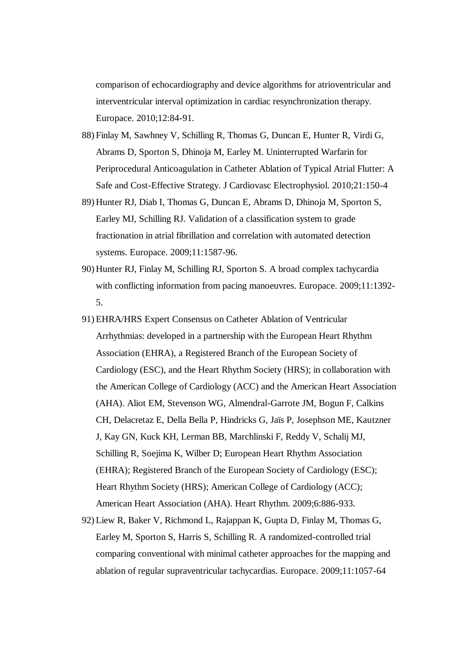comparison of echocardiography and device algorithms for atrioventricular and interventricular interval optimization in cardiac resynchronization therapy. Europace. 2010;12:84-91.

- 88) Finlay M, Sawhney V, Schilling R, Thomas G, Duncan E, Hunter R, Virdi G, Abrams D, Sporton S, Dhinoja M, Earley M. Uninterrupted Warfarin for Periprocedural Anticoagulation in Catheter Ablation of Typical Atrial Flutter: A Safe and Cost-Effective Strategy. J Cardiovasc Electrophysiol. 2010;21:150-4
- 89) Hunter RJ, Diab I, Thomas G, Duncan E, Abrams D, Dhinoja M, Sporton S, Earley MJ, Schilling RJ. Validation of a classification system to grade fractionation in atrial fibrillation and correlation with automated detection systems. Europace. 2009;11:1587-96.
- 90) Hunter RJ, Finlay M, Schilling RJ, Sporton S. A broad complex tachycardia with conflicting information from pacing manoeuvres. Europace. 2009;11:1392-5.
- 91) EHRA/HRS Expert Consensus on Catheter Ablation of Ventricular Arrhythmias: developed in a partnership with the European Heart Rhythm Association (EHRA), a Registered Branch of the European Society of Cardiology (ESC), and the Heart Rhythm Society (HRS); in collaboration with the American College of Cardiology (ACC) and the American Heart Association (AHA). Aliot EM, Stevenson WG, Almendral-Garrote JM, Bogun F, Calkins CH, Delacretaz E, Della Bella P, Hindricks G, Jaïs P, Josephson ME, Kautzner J, Kay GN, Kuck KH, Lerman BB, Marchlinski F, Reddy V, Schalij MJ, Schilling R, Soejima K, Wilber D; European Heart Rhythm Association (EHRA); Registered Branch of the European Society of Cardiology (ESC); Heart Rhythm Society (HRS); American College of Cardiology (ACC); American Heart Association (AHA). Heart Rhythm. 2009;6:886-933.
- 92) Liew R, Baker V, Richmond L, Rajappan K, Gupta D, Finlay M, Thomas G, Earley M, Sporton S, Harris S, Schilling R. A randomized-controlled trial comparing conventional with minimal catheter approaches for the mapping and ablation of regular supraventricular tachycardias. Europace. 2009;11:1057-64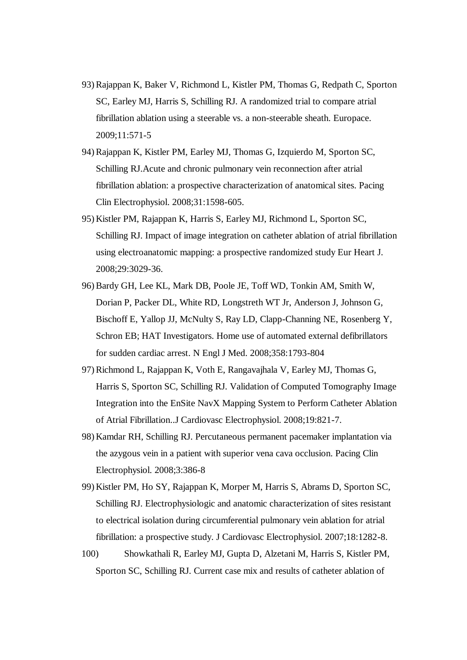- 93) Rajappan K, Baker V, Richmond L, Kistler PM, Thomas G, Redpath C, Sporton SC, Earley MJ, Harris S, Schilling RJ. A randomized trial to compare atrial fibrillation ablation using a steerable vs. a non-steerable sheath. Europace. 2009;11:571-5
- 94) Rajappan K, Kistler PM, Earley MJ, Thomas G, Izquierdo M, Sporton SC, Schilling RJ.Acute and chronic pulmonary vein reconnection after atrial fibrillation ablation: a prospective characterization of anatomical sites. Pacing Clin Electrophysiol. 2008;31:1598-605.
- 95) Kistler PM, Rajappan K, Harris S, Earley MJ, Richmond L, Sporton SC, Schilling RJ. Impact of image integration on catheter ablation of atrial fibrillation using electroanatomic mapping: a prospective randomized study Eur Heart J. 2008;29:3029-36.
- 96) Bardy GH, Lee KL, Mark DB, Poole JE, Toff WD, Tonkin AM, Smith W, Dorian P, Packer DL, White RD, Longstreth WT Jr, Anderson J, Johnson G, Bischoff E, Yallop JJ, McNulty S, Ray LD, Clapp-Channing NE, Rosenberg Y, Schron EB; HAT Investigators. Home use of automated external defibrillators for sudden cardiac arrest. N Engl J Med. 2008;358:1793-804
- 97) Richmond L, Rajappan K, Voth E, Rangavajhala V, Earley MJ, Thomas G, Harris S, Sporton SC, Schilling RJ. Validation of Computed Tomography Image Integration into the EnSite NavX Mapping System to Perform Catheter Ablation of Atrial Fibrillation..J Cardiovasc Electrophysiol. 2008;19:821-7.
- 98) Kamdar RH, Schilling RJ. Percutaneous permanent pacemaker implantation via the azygous vein in a patient with superior vena cava occlusion. Pacing Clin Electrophysiol. 2008;3:386-8
- 99) Kistler PM, Ho SY, Rajappan K, Morper M, Harris S, Abrams D, Sporton SC, Schilling RJ. Electrophysiologic and anatomic characterization of sites resistant to electrical isolation during circumferential pulmonary vein ablation for atrial fibrillation: a prospective study. J Cardiovasc Electrophysiol. 2007;18:1282-8.
- 100) Showkathali R, Earley MJ, Gupta D, Alzetani M, Harris S, Kistler PM, Sporton SC, Schilling RJ. Current case mix and results of catheter ablation of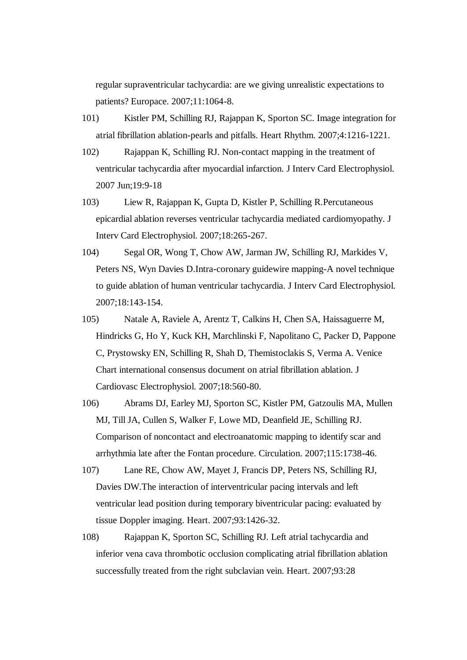regular supraventricular tachycardia: are we giving unrealistic expectations to patients? Europace. 2007;11:1064-8.

- 101) Kistler PM, Schilling RJ, Rajappan K, Sporton SC. Image integration for atrial fibrillation ablation-pearls and pitfalls. Heart Rhythm. 2007;4:1216-1221.
- 102) Rajappan K, Schilling RJ. Non-contact mapping in the treatment of ventricular tachycardia after myocardial infarction. J Interv Card Electrophysiol. 2007 Jun;19:9-18
- 103) Liew R, Rajappan K, Gupta D, Kistler P, Schilling R.Percutaneous epicardial ablation reverses ventricular tachycardia mediated cardiomyopathy. J Interv Card Electrophysiol. 2007;18:265-267.
- 104) Segal OR, Wong T, Chow AW, Jarman JW, Schilling RJ, Markides V, Peters NS, Wyn Davies D.Intra-coronary guidewire mapping-A novel technique to guide ablation of human ventricular tachycardia. J Interv Card Electrophysiol. 2007;18:143-154.
- 105) Natale A, Raviele A, Arentz T, Calkins H, Chen SA, Haissaguerre M, Hindricks G, Ho Y, Kuck KH, Marchlinski F, Napolitano C, Packer D, Pappone C, Prystowsky EN, Schilling R, Shah D, Themistoclakis S, Verma A. Venice Chart international consensus document on atrial fibrillation ablation. J Cardiovasc Electrophysiol. 2007;18:560-80.
- 106) Abrams DJ, Earley MJ, Sporton SC, Kistler PM, Gatzoulis MA, Mullen MJ, Till JA, Cullen S, Walker F, Lowe MD, Deanfield JE, Schilling RJ. Comparison of noncontact and electroanatomic mapping to identify scar and arrhythmia late after the Fontan procedure. Circulation. 2007;115:1738-46.
- 107) Lane RE, Chow AW, Mayet J, Francis DP, Peters NS, Schilling RJ, Davies DW.The interaction of interventricular pacing intervals and left ventricular lead position during temporary biventricular pacing: evaluated by tissue Doppler imaging. Heart. 2007;93:1426-32.
- 108) Rajappan K, Sporton SC, Schilling RJ. Left atrial tachycardia and inferior vena cava thrombotic occlusion complicating atrial fibrillation ablation successfully treated from the right subclavian vein. Heart. 2007;93:28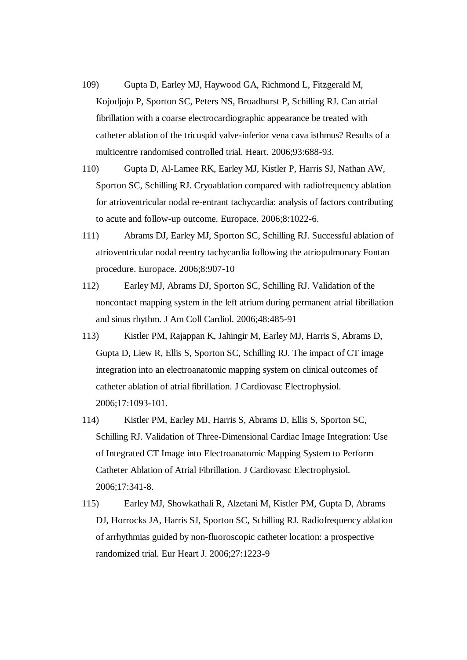- 109) Gupta D, Earley MJ, Haywood GA, Richmond L, Fitzgerald M, Kojodjojo P, Sporton SC, Peters NS, Broadhurst P, Schilling RJ. Can atrial fibrillation with a coarse electrocardiographic appearance be treated with catheter ablation of the tricuspid valve-inferior vena cava isthmus? Results of a multicentre randomised controlled trial. Heart. 2006;93:688-93.
- 110) Gupta D, Al-Lamee RK, Earley MJ, Kistler P, Harris SJ, Nathan AW, Sporton SC, Schilling RJ. Cryoablation compared with radiofrequency ablation for atrioventricular nodal re-entrant tachycardia: analysis of factors contributing to acute and follow-up outcome. Europace. 2006;8:1022-6.
- 111) Abrams DJ, Earley MJ, Sporton SC, Schilling RJ. Successful ablation of atrioventricular nodal reentry tachycardia following the atriopulmonary Fontan procedure. Europace. 2006;8:907-10
- 112) Earley MJ, Abrams DJ, Sporton SC, Schilling RJ. Validation of the noncontact mapping system in the left atrium during permanent atrial fibrillation and sinus rhythm. J Am Coll Cardiol. 2006;48:485-91
- 113) Kistler PM, Rajappan K, Jahingir M, Earley MJ, Harris S, Abrams D, Gupta D, Liew R, Ellis S, Sporton SC, Schilling RJ. The impact of CT image integration into an electroanatomic mapping system on clinical outcomes of catheter ablation of atrial fibrillation. J Cardiovasc Electrophysiol. 2006;17:1093-101.
- 114) Kistler PM, Earley MJ, Harris S, Abrams D, Ellis S, Sporton SC, Schilling RJ. Validation of Three-Dimensional Cardiac Image Integration: Use of Integrated CT Image into Electroanatomic Mapping System to Perform Catheter Ablation of Atrial Fibrillation. J Cardiovasc Electrophysiol. 2006;17:341-8.
- 115) Earley MJ, Showkathali R, Alzetani M, Kistler PM, Gupta D, Abrams DJ, Horrocks JA, Harris SJ, Sporton SC, Schilling RJ. Radiofrequency ablation of arrhythmias guided by non-fluoroscopic catheter location: a prospective randomized trial. Eur Heart J. 2006;27:1223-9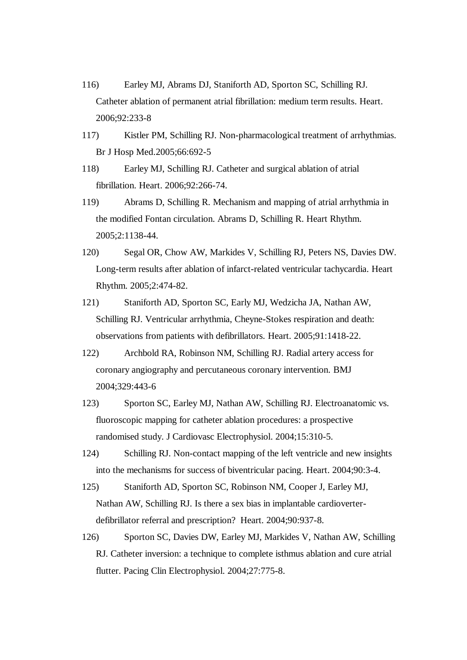- 116) Earley MJ, Abrams DJ, Staniforth AD, Sporton SC, Schilling RJ. Catheter ablation of permanent atrial fibrillation: medium term results. Heart. 2006;92:233-8
- 117) Kistler PM, Schilling RJ. Non-pharmacological treatment of arrhythmias. Br J Hosp Med.2005;66:692-5
- 118) Earley MJ, Schilling RJ. Catheter and surgical ablation of atrial fibrillation. Heart. 2006;92:266-74.
- 119) Abrams D, Schilling R. Mechanism and mapping of atrial arrhythmia in the modified Fontan circulation. Abrams D, Schilling R. Heart Rhythm. 2005;2:1138-44.
- 120) Segal OR, Chow AW, Markides V, Schilling RJ, Peters NS, Davies DW. Long-term results after ablation of infarct-related ventricular tachycardia. Heart Rhythm. 2005;2:474-82.
- 121) Staniforth AD, Sporton SC, Early MJ, Wedzicha JA, Nathan AW, Schilling RJ. Ventricular arrhythmia, Cheyne-Stokes respiration and death: observations from patients with defibrillators. Heart. 2005;91:1418-22.
- 122) Archbold RA, Robinson NM, Schilling RJ. Radial artery access for coronary angiography and percutaneous coronary intervention. BMJ 2004;329:443-6
- 123) Sporton SC, Earley MJ, Nathan AW, Schilling RJ. Electroanatomic vs. fluoroscopic mapping for catheter ablation procedures: a prospective randomised study. J Cardiovasc Electrophysiol. 2004;15:310-5.
- 124) Schilling RJ. Non-contact mapping of the left ventricle and new insights into the mechanisms for success of biventricular pacing. Heart. 2004;90:3-4.
- 125) Staniforth AD, Sporton SC, Robinson NM, Cooper J, Earley MJ, Nathan AW, Schilling RJ. Is there a sex bias in implantable cardioverterdefibrillator referral and prescription? Heart. 2004;90:937-8.
- 126) Sporton SC, Davies DW, Earley MJ, Markides V, Nathan AW, Schilling RJ. Catheter inversion: a technique to complete isthmus ablation and cure atrial flutter. Pacing Clin Electrophysiol. 2004;27:775-8.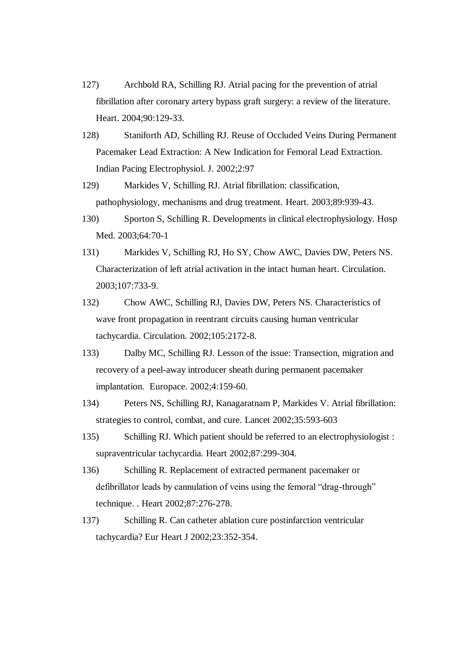- 127) Archbold RA, Schilling RJ. Atrial pacing for the prevention of atrial fibrillation after coronary artery bypass graft surgery: a review of the literature. Heart. 2004;90:129-33.
- 128) Staniforth AD, Schilling RJ. Reuse of Occluded Veins During Permanent Pacemaker Lead Extraction: A New Indication for Femoral Lead Extraction. Indian Pacing Electrophysiol. J. 2002;2:97
- 129) Markides V, Schilling RJ. Atrial fibrillation: classification, pathophysiology, mechanisms and drug treatment. Heart. 2003;89:939-43.
- 130) Sporton S, Schilling R. Developments in clinical electrophysiology. Hosp Med. 2003;64:70-1
- 131) Markides V, Schilling RJ, Ho SY, Chow AWC, Davies DW, Peters NS. Characterization of left atrial activation in the intact human heart. Circulation. 2003;107:733-9.
- 132) Chow AWC, Schilling RJ, Davies DW, Peters NS. Characteristics of wave front propagation in reentrant circuits causing human ventricular tachycardia. Circulation. 2002;105:2172-8.
- 133) Dalby MC, Schilling RJ. Lesson of the issue: Transection, migration and recovery of a peel-away introducer sheath during permanent pacemaker implantation. Europace. 2002;4:159-60.
- 134) Peters NS, Schilling RJ, Kanagaratnam P, Markides V. Atrial fibrillation: strategies to control, combat, and cure. Lancet 2002;35:593-603
- 135) Schilling RJ. Which patient should be referred to an electrophysiologist : supraventricular tachycardia. Heart 2002;87:299-304.
- 136) Schilling R. Replacement of extracted permanent pacemaker or defibrillator leads by cannulation of veins using the femoral "drag-through" technique. . Heart 2002;87:276-278.
- 137) Schilling R. Can catheter ablation cure postinfarction ventricular tachycardia? Eur Heart J 2002;23:352-354.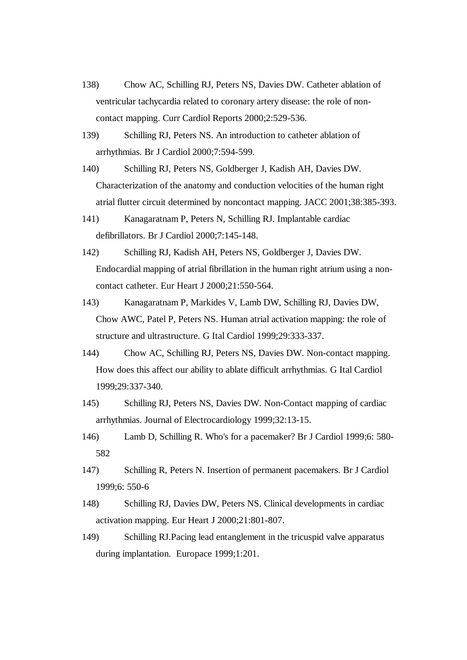- 138) Chow AC, Schilling RJ, Peters NS, Davies DW. Catheter ablation of ventricular tachycardia related to coronary artery disease: the role of noncontact mapping. Curr Cardiol Reports 2000;2:529-536.
- 139) Schilling RJ, Peters NS. An introduction to catheter ablation of arrhythmias. Br J Cardiol 2000;7:594-599.
- 140) Schilling RJ, Peters NS, Goldberger J, Kadish AH, Davies DW. Characterization of the anatomy and conduction velocities of the human right atrial flutter circuit determined by noncontact mapping. JACC 2001;38:385-393.
- 141) Kanagaratnam P, Peters N, Schilling RJ. Implantable cardiac defibrillators. Br J Cardiol 2000;7:145-148.
- 142) Schilling RJ, Kadish AH, Peters NS, Goldberger J, Davies DW. Endocardial mapping of atrial fibrillation in the human right atrium using a noncontact catheter. Eur Heart J 2000;21:550-564.
- 143) Kanagaratnam P, Markides V, Lamb DW, Schilling RJ, Davies DW, Chow AWC, Patel P, Peters NS. Human atrial activation mapping: the role of structure and ultrastructure. G Ital Cardiol 1999;29:333-337.
- 144) Chow AC, Schilling RJ, Peters NS, Davies DW. Non-contact mapping. How does this affect our ability to ablate difficult arrhythmias. G Ital Cardiol 1999;29:337-340.
- 145) Schilling RJ, Peters NS, Davies DW. Non-Contact mapping of cardiac arrhythmias. Journal of Electrocardiology 1999;32:13-15.
- 146) Lamb D, Schilling R. Who's for a pacemaker? Br J Cardiol 1999;6: 580- 582
- 147) Schilling R, Peters N. Insertion of permanent pacemakers. Br J Cardiol 1999;6: 550-6
- 148) Schilling RJ, Davies DW, Peters NS. Clinical developments in cardiac activation mapping. Eur Heart J 2000;21:801-807.
- 149) Schilling RJ.Pacing lead entanglement in the tricuspid valve apparatus during implantation. Europace 1999;1:201.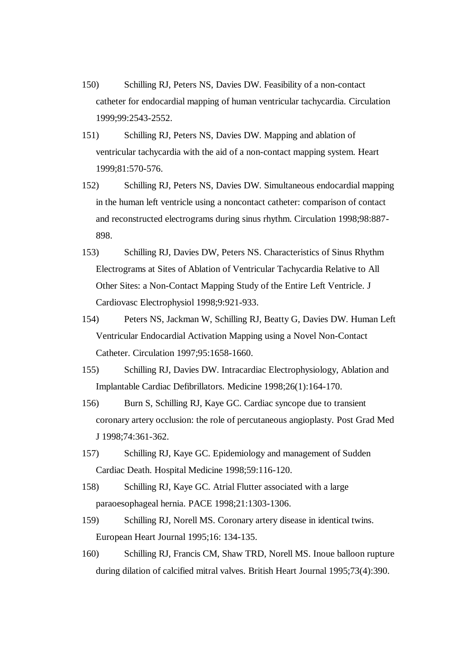- 150) Schilling RJ, Peters NS, Davies DW. Feasibility of a non-contact catheter for endocardial mapping of human ventricular tachycardia. Circulation 1999;99:2543-2552.
- 151) Schilling RJ, Peters NS, Davies DW. Mapping and ablation of ventricular tachycardia with the aid of a non-contact mapping system. Heart 1999;81:570-576.
- 152) Schilling RJ, Peters NS, Davies DW. Simultaneous endocardial mapping in the human left ventricle using a noncontact catheter: comparison of contact and reconstructed electrograms during sinus rhythm. Circulation 1998;98:887- 898.
- 153) Schilling RJ, Davies DW, Peters NS. Characteristics of Sinus Rhythm Electrograms at Sites of Ablation of Ventricular Tachycardia Relative to All Other Sites: a Non-Contact Mapping Study of the Entire Left Ventricle. J Cardiovasc Electrophysiol 1998;9:921-933.
- 154) Peters NS, Jackman W, Schilling RJ, Beatty G, Davies DW. Human Left Ventricular Endocardial Activation Mapping using a Novel Non-Contact Catheter. Circulation 1997;95:1658-1660.
- 155) Schilling RJ, Davies DW. Intracardiac Electrophysiology, Ablation and Implantable Cardiac Defibrillators. Medicine 1998;26(1):164-170.
- 156) Burn S, Schilling RJ, Kaye GC. Cardiac syncope due to transient coronary artery occlusion: the role of percutaneous angioplasty. Post Grad Med J 1998;74:361-362.
- 157) Schilling RJ, Kaye GC. Epidemiology and management of Sudden Cardiac Death. Hospital Medicine 1998;59:116-120.
- 158) Schilling RJ, Kaye GC. Atrial Flutter associated with a large paraoesophageal hernia. PACE 1998;21:1303-1306.
- 159) Schilling RJ, Norell MS. Coronary artery disease in identical twins. European Heart Journal 1995;16: 134-135.
- 160) Schilling RJ, Francis CM, Shaw TRD, Norell MS. Inoue balloon rupture during dilation of calcified mitral valves. British Heart Journal 1995;73(4):390.